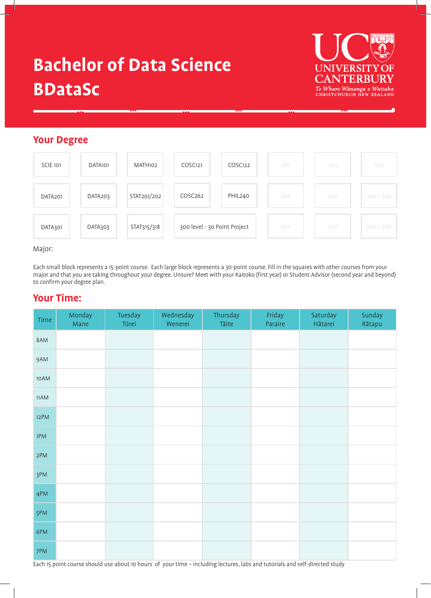# **Bachelor of Data Science BDataSc**



# **Your Degree**



### Major:

Each small block represents a 15-point course. Each large block represents a 30-point course. Fill in the squares with other courses from your major and that you are taking throughout your degree. Unsure? Meet with your Kaitoko (first year) or Student Advisor (second year and beyond) to confirm your degree plan.

# **Your Time:**

| Time | Monday<br>Mane | Tuesday<br>Tūrei | Wednesday<br>Wenerei | Thursday<br>Tāite | Friday<br>Paraire | Saturday<br>Hātarei | Sunday<br>Rātapu |
|------|----------------|------------------|----------------------|-------------------|-------------------|---------------------|------------------|
| 8AM  |                |                  |                      |                   |                   |                     |                  |
| 9AM  |                |                  |                      |                   |                   |                     |                  |
| 10AM |                |                  |                      |                   |                   |                     |                  |
| 11AM |                |                  |                      |                   |                   |                     |                  |
| 12PM |                |                  |                      |                   |                   |                     |                  |
| 1PM  |                |                  |                      |                   |                   |                     |                  |
| 2PM  |                |                  |                      |                   |                   |                     |                  |
| 3PM  |                |                  |                      |                   |                   |                     |                  |
| 4PM  |                |                  |                      |                   |                   |                     |                  |
| 5PM  |                |                  |                      |                   |                   |                     |                  |
| 6PM  |                |                  |                      |                   |                   |                     |                  |
| 7PM  |                |                  |                      |                   |                   |                     |                  |

Each 15 point course should use about 10 hours of your time – including lectures, labs and tutorials and self-directed study